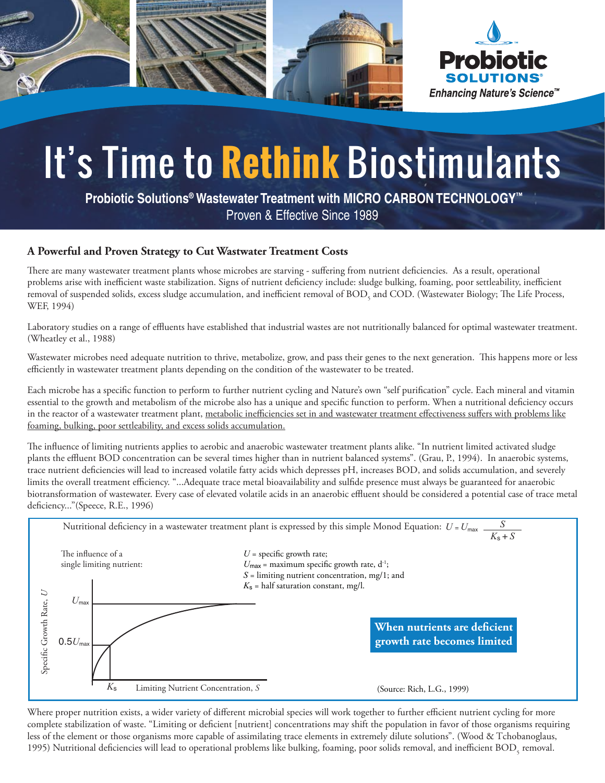

## It's Time to **Rethink** Biostimulants

 **Probiotic Solutions® Wastewater Treatment with MICRO CARBON TECHNOLOGY™**  Proven & Effective Since 1989

## **A Powerful and Proven Strategy to Cut Wastwater Treatment Costs**

There are many wastewater treatment plants whose microbes are starving - suffering from nutrient deficiencies. As a result, operational problems arise with inefficient waste stabilization. Signs of nutrient deficiency include: sludge bulking, foaming, poor settleability, inefficient removal of suspended solids, excess sludge accumulation, and inefficient removal of  $\mathrm{BOD}_\mathrm{s}$  and  $\mathrm{COD}.$  (Wastewater Biology; The Life Process, WEF, 1994)

Laboratory studies on a range of effluents have established that industrial wastes are not nutritionally balanced for optimal wastewater treatment. (Wheatley et al., 1988)

Wastewater microbes need adequate nutrition to thrive, metabolize, grow, and pass their genes to the next generation. This happens more or less efficiently in wastewater treatment plants depending on the condition of the wastewater to be treated.

Each microbe has a specific function to perform to further nutrient cycling and Nature's own "self purification" cycle. Each mineral and vitamin essential to the growth and metabolism of the microbe also has a unique and specific function to perform. When a nutritional deficiency occurs in the reactor of a wastewater treatment plant, metabolic inefficiencies set in and wastewater treatment effectiveness suffers with problems like foaming, bulking, poor settleability, and excess solids accumulation.

The influence of limiting nutrients applies to aerobic and anaerobic wastewater treatment plants alike. "In nutrient limited activated sludge plants the effluent BOD concentration can be several times higher than in nutrient balanced systems". (Grau, P., 1994). In anaerobic systems, trace nutrient deficiencies will lead to increased volatile fatty acids which depresses pH, increases BOD, and solids accumulation, and severely limits the overall treatment efficiency. "...Adequate trace metal bioavailability and sulfide presence must always be guaranteed for anaerobic biotransformation of wastewater. Every case of elevated volatile acids in an anaerobic effluent should be considered a potential case of trace metal deficiency..."(Speece, R.E., 1996)



Where proper nutrition exists, a wider variety of different microbial species will work together to further efficient nutrient cycling for more complete stabilization of waste. "Limiting or deficient [nutrient] concentrations may shift the population in favor of those organisms requiring less of the element or those organisms more capable of assimilating trace elements in extremely dilute solutions". (Wood & Tchobanoglaus, 1995) Nutritional deficiencies will lead to operational problems like bulking, foaming, poor solids removal, and inefficient  $\mathrm{BOD}_5$  removal.